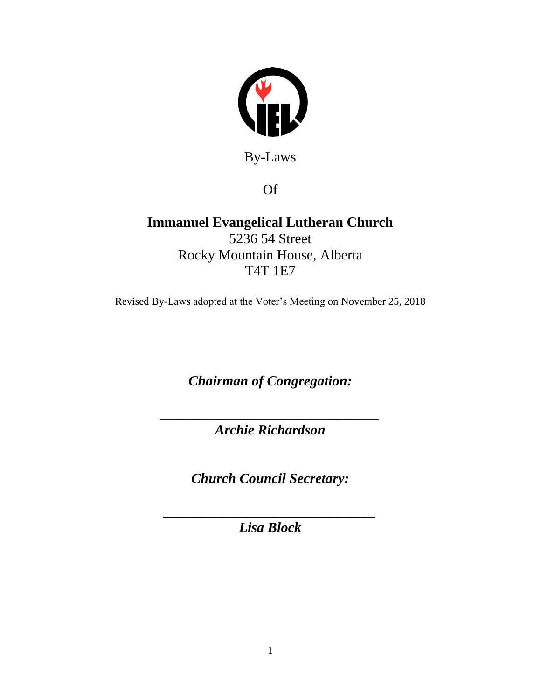

By-Laws

Of

# **Immanuel Evangelical Lutheran Church** 5236 54 Street Rocky Mountain House, Alberta T4T 1E7

Revised By-Laws adopted at the Voter's Meeting on November 25, 2018

*Chairman of Congregation:*

*\_\_\_\_\_\_\_\_\_\_\_\_\_\_\_\_\_\_\_\_\_\_\_\_\_\_\_\_\_\_\_ Archie Richardson*

*Church Council Secretary:*

*\_\_\_\_\_\_\_\_\_\_\_\_\_\_\_\_\_\_\_\_\_\_\_\_\_\_\_\_\_\_ Lisa Block*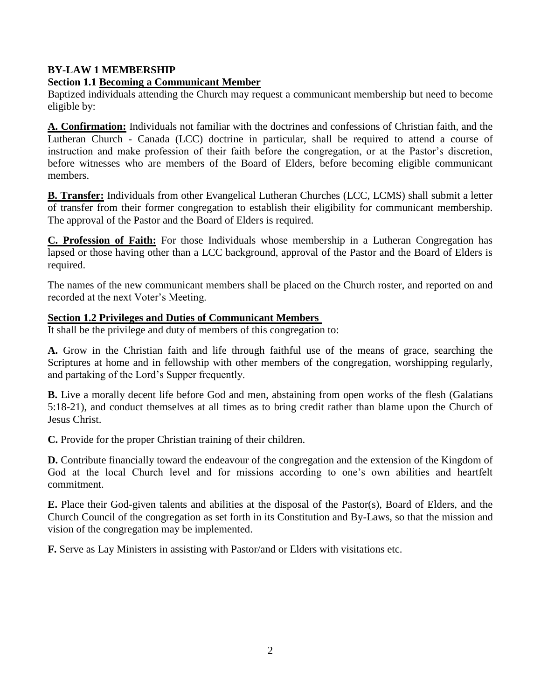# **BY-LAW 1 MEMBERSHIP**

# **Section 1.1 Becoming a Communicant Member**

Baptized individuals attending the Church may request a communicant membership but need to become eligible by:

**A. Confirmation:** Individuals not familiar with the doctrines and confessions of Christian faith, and the Lutheran Church - Canada (LCC) doctrine in particular, shall be required to attend a course of instruction and make profession of their faith before the congregation, or at the Pastor's discretion, before witnesses who are members of the Board of Elders, before becoming eligible communicant members.

**B. Transfer:** Individuals from other Evangelical Lutheran Churches (LCC, LCMS) shall submit a letter of transfer from their former congregation to establish their eligibility for communicant membership. The approval of the Pastor and the Board of Elders is required.

**C. Profession of Faith:** For those Individuals whose membership in a Lutheran Congregation has lapsed or those having other than a LCC background, approval of the Pastor and the Board of Elders is required.

The names of the new communicant members shall be placed on the Church roster, and reported on and recorded at the next Voter's Meeting.

### **Section 1.2 Privileges and Duties of Communicant Members**

It shall be the privilege and duty of members of this congregation to:

**A.** Grow in the Christian faith and life through faithful use of the means of grace, searching the Scriptures at home and in fellowship with other members of the congregation, worshipping regularly, and partaking of the Lord's Supper frequently.

**B.** Live a morally decent life before God and men, abstaining from open works of the flesh (Galatians 5:18-21), and conduct themselves at all times as to bring credit rather than blame upon the Church of Jesus Christ.

**C.** Provide for the proper Christian training of their children.

**D.** Contribute financially toward the endeavour of the congregation and the extension of the Kingdom of God at the local Church level and for missions according to one's own abilities and heartfelt commitment.

**E.** Place their God-given talents and abilities at the disposal of the Pastor(s), Board of Elders, and the Church Council of the congregation as set forth in its Constitution and By-Laws, so that the mission and vision of the congregation may be implemented.

**F.** Serve as Lay Ministers in assisting with Pastor/and or Elders with visitations etc.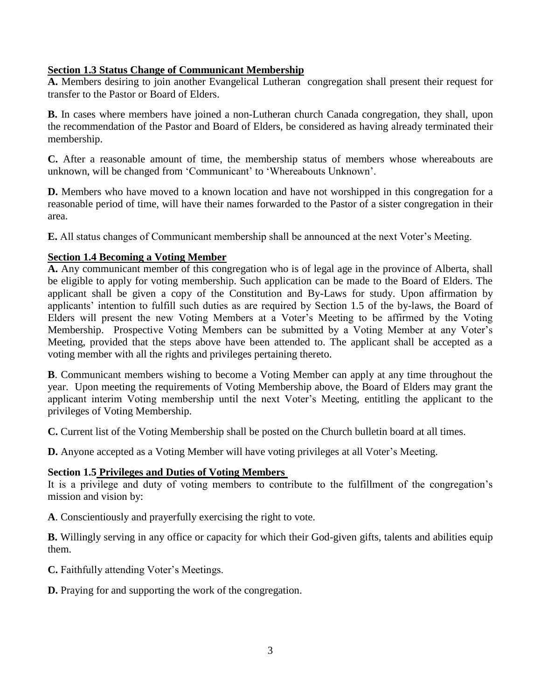### **Section 1.3 Status Change of Communicant Membership**

**A.** Members desiring to join another Evangelical Lutheran congregation shall present their request for transfer to the Pastor or Board of Elders.

**B.** In cases where members have joined a non-Lutheran church Canada congregation, they shall, upon the recommendation of the Pastor and Board of Elders, be considered as having already terminated their membership.

**C.** After a reasonable amount of time, the membership status of members whose whereabouts are unknown, will be changed from 'Communicant' to 'Whereabouts Unknown'.

**D.** Members who have moved to a known location and have not worshipped in this congregation for a reasonable period of time, will have their names forwarded to the Pastor of a sister congregation in their area.

**E.** All status changes of Communicant membership shall be announced at the next Voter's Meeting.

### **Section 1.4 Becoming a Voting Member**

**A.** Any communicant member of this congregation who is of legal age in the province of Alberta, shall be eligible to apply for voting membership. Such application can be made to the Board of Elders. The applicant shall be given a copy of the Constitution and By-Laws for study. Upon affirmation by applicants' intention to fulfill such duties as are required by Section 1.5 of the by-laws, the Board of Elders will present the new Voting Members at a Voter's Meeting to be affirmed by the Voting Membership. Prospective Voting Members can be submitted by a Voting Member at any Voter's Meeting, provided that the steps above have been attended to. The applicant shall be accepted as a voting member with all the rights and privileges pertaining thereto.

**B**. Communicant members wishing to become a Voting Member can apply at any time throughout the year. Upon meeting the requirements of Voting Membership above, the Board of Elders may grant the applicant interim Voting membership until the next Voter's Meeting, entitling the applicant to the privileges of Voting Membership.

**C.** Current list of the Voting Membership shall be posted on the Church bulletin board at all times.

**D.** Anyone accepted as a Voting Member will have voting privileges at all Voter's Meeting.

#### **Section 1.5 Privileges and Duties of Voting Members**

It is a privilege and duty of voting members to contribute to the fulfillment of the congregation's mission and vision by:

**A**. Conscientiously and prayerfully exercising the right to vote.

**B.** Willingly serving in any office or capacity for which their God-given gifts, talents and abilities equip them.

**C.** Faithfully attending Voter's Meetings.

**D.** Praying for and supporting the work of the congregation.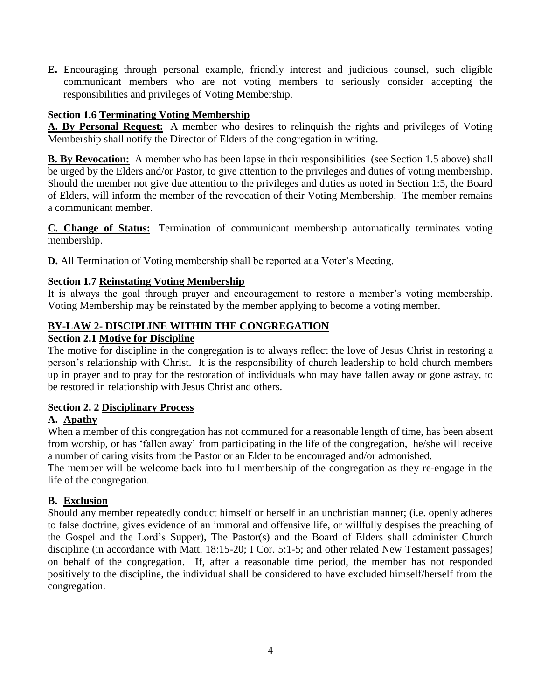**E.** Encouraging through personal example, friendly interest and judicious counsel, such eligible communicant members who are not voting members to seriously consider accepting the responsibilities and privileges of Voting Membership.

# **Section 1.6 Terminating Voting Membership**

**A. By Personal Request:** A member who desires to relinquish the rights and privileges of Voting Membership shall notify the Director of Elders of the congregation in writing.

**B. By Revocation:** A member who has been lapse in their responsibilities (see Section 1.5 above) shall be urged by the Elders and/or Pastor, to give attention to the privileges and duties of voting membership. Should the member not give due attention to the privileges and duties as noted in Section 1:5, the Board of Elders, will inform the member of the revocation of their Voting Membership. The member remains a communicant member.

**C. Change of Status:** Termination of communicant membership automatically terminates voting membership.

**D.** All Termination of Voting membership shall be reported at a Voter's Meeting.

# **Section 1.7 Reinstating Voting Membership**

It is always the goal through prayer and encouragement to restore a member's voting membership. Voting Membership may be reinstated by the member applying to become a voting member.

# **BY-LAW 2- DISCIPLINE WITHIN THE CONGREGATION**

# **Section 2.1 Motive for Discipline**

The motive for discipline in the congregation is to always reflect the love of Jesus Christ in restoring a person's relationship with Christ. It is the responsibility of church leadership to hold church members up in prayer and to pray for the restoration of individuals who may have fallen away or gone astray, to be restored in relationship with Jesus Christ and others.

# **Section 2. 2 Disciplinary Process**

# **A. Apathy**

When a member of this congregation has not communed for a reasonable length of time, has been absent from worship, or has 'fallen away' from participating in the life of the congregation, he/she will receive a number of caring visits from the Pastor or an Elder to be encouraged and/or admonished.

The member will be welcome back into full membership of the congregation as they re-engage in the life of the congregation.

# **B. Exclusion**

Should any member repeatedly conduct himself or herself in an unchristian manner; (i.e. openly adheres to false doctrine, gives evidence of an immoral and offensive life, or willfully despises the preaching of the Gospel and the Lord's Supper), The Pastor(s) and the Board of Elders shall administer Church discipline (in accordance with Matt. 18:15-20; I Cor. 5:1-5; and other related New Testament passages) on behalf of the congregation. If, after a reasonable time period, the member has not responded positively to the discipline, the individual shall be considered to have excluded himself/herself from the congregation.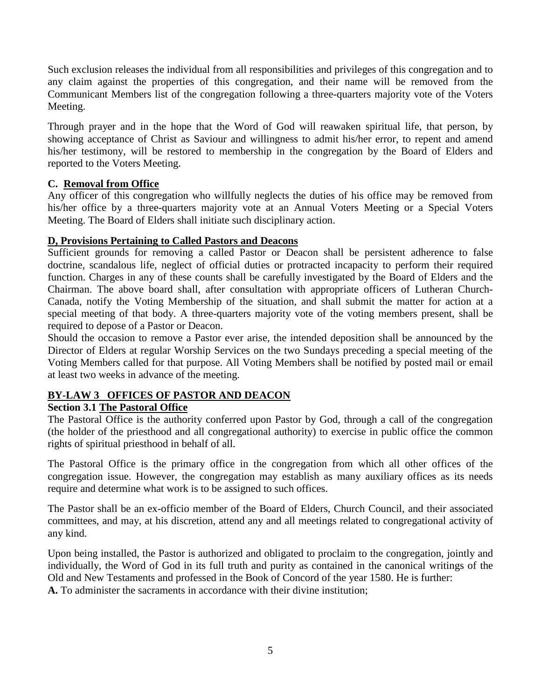Such exclusion releases the individual from all responsibilities and privileges of this congregation and to any claim against the properties of this congregation, and their name will be removed from the Communicant Members list of the congregation following a three-quarters majority vote of the Voters Meeting.

Through prayer and in the hope that the Word of God will reawaken spiritual life, that person, by showing acceptance of Christ as Saviour and willingness to admit his/her error, to repent and amend his/her testimony, will be restored to membership in the congregation by the Board of Elders and reported to the Voters Meeting.

### **C. Removal from Office**

Any officer of this congregation who willfully neglects the duties of his office may be removed from his/her office by a three-quarters majority vote at an Annual Voters Meeting or a Special Voters Meeting. The Board of Elders shall initiate such disciplinary action.

### **D, Provisions Pertaining to Called Pastors and Deacons**

Sufficient grounds for removing a called Pastor or Deacon shall be persistent adherence to false doctrine, scandalous life, neglect of official duties or protracted incapacity to perform their required function. Charges in any of these counts shall be carefully investigated by the Board of Elders and the Chairman. The above board shall, after consultation with appropriate officers of Lutheran Church-Canada, notify the Voting Membership of the situation, and shall submit the matter for action at a special meeting of that body. A three-quarters majority vote of the voting members present, shall be required to depose of a Pastor or Deacon.

Should the occasion to remove a Pastor ever arise, the intended deposition shall be announced by the Director of Elders at regular Worship Services on the two Sundays preceding a special meeting of the Voting Members called for that purpose. All Voting Members shall be notified by posted mail or email at least two weeks in advance of the meeting.

# **BY-LAW 3 OFFICES OF PASTOR AND DEACON**

# **Section 3.1 The Pastoral Office**

The Pastoral Office is the authority conferred upon Pastor by God, through a call of the congregation (the holder of the priesthood and all congregational authority) to exercise in public office the common rights of spiritual priesthood in behalf of all.

The Pastoral Office is the primary office in the congregation from which all other offices of the congregation issue. However, the congregation may establish as many auxiliary offices as its needs require and determine what work is to be assigned to such offices.

The Pastor shall be an ex-officio member of the Board of Elders, Church Council, and their associated committees, and may, at his discretion, attend any and all meetings related to congregational activity of any kind.

Upon being installed, the Pastor is authorized and obligated to proclaim to the congregation, jointly and individually, the Word of God in its full truth and purity as contained in the canonical writings of the Old and New Testaments and professed in the Book of Concord of the year 1580. He is further: **A.** To administer the sacraments in accordance with their divine institution;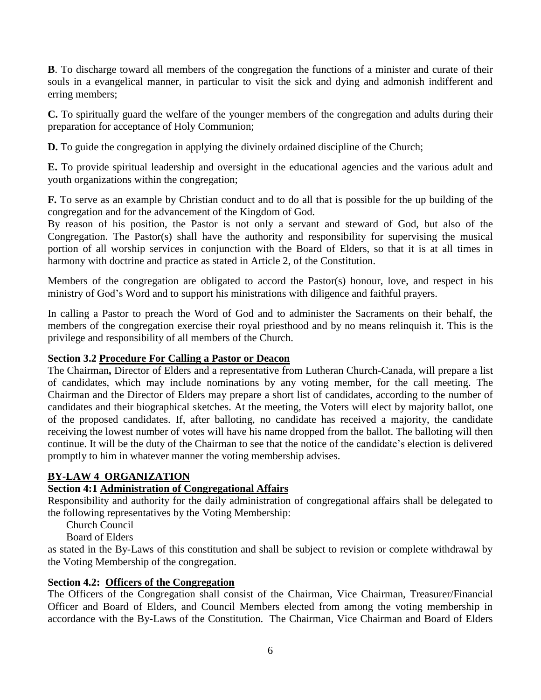**B**. To discharge toward all members of the congregation the functions of a minister and curate of their souls in a evangelical manner, in particular to visit the sick and dying and admonish indifferent and erring members;

**C.** To spiritually guard the welfare of the younger members of the congregation and adults during their preparation for acceptance of Holy Communion;

**D.** To guide the congregation in applying the divinely ordained discipline of the Church;

**E.** To provide spiritual leadership and oversight in the educational agencies and the various adult and youth organizations within the congregation;

**F.** To serve as an example by Christian conduct and to do all that is possible for the up building of the congregation and for the advancement of the Kingdom of God.

By reason of his position, the Pastor is not only a servant and steward of God, but also of the Congregation. The Pastor(s) shall have the authority and responsibility for supervising the musical portion of all worship services in conjunction with the Board of Elders, so that it is at all times in harmony with doctrine and practice as stated in Article 2, of the Constitution.

Members of the congregation are obligated to accord the Pastor(s) honour, love, and respect in his ministry of God's Word and to support his ministrations with diligence and faithful prayers.

In calling a Pastor to preach the Word of God and to administer the Sacraments on their behalf, the members of the congregation exercise their royal priesthood and by no means relinquish it. This is the privilege and responsibility of all members of the Church.

# **Section 3.2 Procedure For Calling a Pastor or Deacon**

The Chairman**,** Director of Elders and a representative from Lutheran Church-Canada, will prepare a list of candidates, which may include nominations by any voting member, for the call meeting. The Chairman and the Director of Elders may prepare a short list of candidates, according to the number of candidates and their biographical sketches. At the meeting, the Voters will elect by majority ballot, one of the proposed candidates. If, after balloting, no candidate has received a majority, the candidate receiving the lowest number of votes will have his name dropped from the ballot. The balloting will then continue. It will be the duty of the Chairman to see that the notice of the candidate's election is delivered promptly to him in whatever manner the voting membership advises.

# **BY-LAW 4 ORGANIZATION**

# **Section 4:1 Administration of Congregational Affairs**

Responsibility and authority for the daily administration of congregational affairs shall be delegated to the following representatives by the Voting Membership:

Church Council

Board of Elders

as stated in the By-Laws of this constitution and shall be subject to revision or complete withdrawal by the Voting Membership of the congregation.

# **Section 4.2: Officers of the Congregation**

The Officers of the Congregation shall consist of the Chairman, Vice Chairman, Treasurer/Financial Officer and Board of Elders, and Council Members elected from among the voting membership in accordance with the By-Laws of the Constitution. The Chairman, Vice Chairman and Board of Elders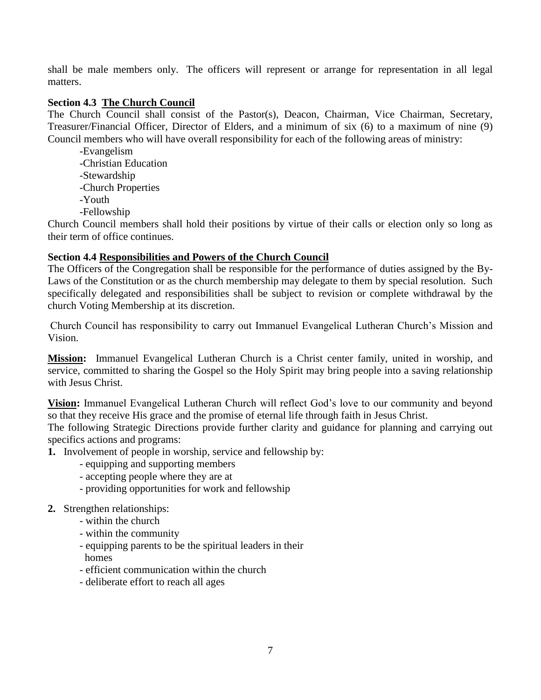shall be male members only. The officers will represent or arrange for representation in all legal matters.

### **Section 4.3 The Church Council**

The Church Council shall consist of the Pastor(s), Deacon, Chairman, Vice Chairman, Secretary, Treasurer/Financial Officer, Director of Elders, and a minimum of six (6) to a maximum of nine (9) Council members who will have overall responsibility for each of the following areas of ministry:

-Evangelism -Christian Education -Stewardship -Church Properties -Youth -Fellowship

Church Council members shall hold their positions by virtue of their calls or election only so long as their term of office continues.

#### **Section 4.4 Responsibilities and Powers of the Church Council**

The Officers of the Congregation shall be responsible for the performance of duties assigned by the By-Laws of the Constitution or as the church membership may delegate to them by special resolution. Such specifically delegated and responsibilities shall be subject to revision or complete withdrawal by the church Voting Membership at its discretion.

Church Council has responsibility to carry out Immanuel Evangelical Lutheran Church's Mission and Vision.

**Mission:** Immanuel Evangelical Lutheran Church is a Christ center family, united in worship, and service, committed to sharing the Gospel so the Holy Spirit may bring people into a saving relationship with Jesus Christ.

**Vision:** Immanuel Evangelical Lutheran Church will reflect God's love to our community and beyond so that they receive His grace and the promise of eternal life through faith in Jesus Christ.

The following Strategic Directions provide further clarity and guidance for planning and carrying out specifics actions and programs:

- **1.** Involvement of people in worship, service and fellowship by:
	- equipping and supporting members
	- accepting people where they are at
	- providing opportunities for work and fellowship

#### **2.** Strengthen relationships:

- within the church
- within the community
- equipping parents to be the spiritual leaders in their homes
- efficient communication within the church
- deliberate effort to reach all ages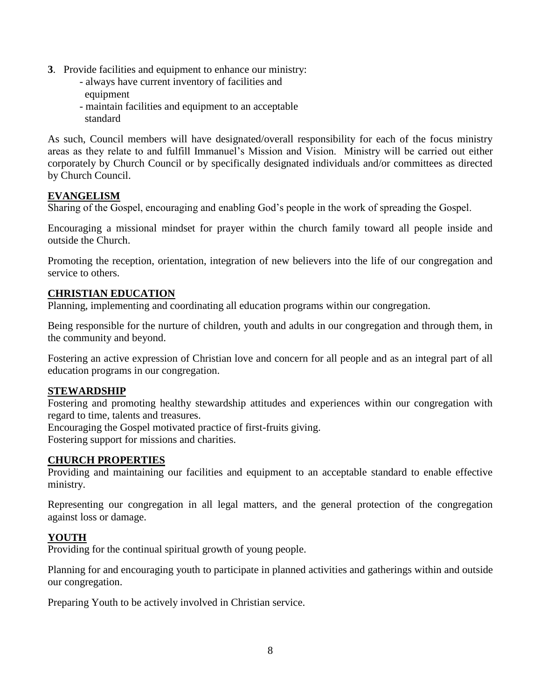- **3**. Provide facilities and equipment to enhance our ministry:
	- always have current inventory of facilities and equipment
	- maintain facilities and equipment to an acceptable standard

As such, Council members will have designated/overall responsibility for each of the focus ministry areas as they relate to and fulfill Immanuel's Mission and Vision. Ministry will be carried out either corporately by Church Council or by specifically designated individuals and/or committees as directed by Church Council.

### **EVANGELISM**

Sharing of the Gospel, encouraging and enabling God's people in the work of spreading the Gospel.

Encouraging a missional mindset for prayer within the church family toward all people inside and outside the Church.

Promoting the reception, orientation, integration of new believers into the life of our congregation and service to others.

### **CHRISTIAN EDUCATION**

Planning, implementing and coordinating all education programs within our congregation.

Being responsible for the nurture of children, youth and adults in our congregation and through them, in the community and beyond.

Fostering an active expression of Christian love and concern for all people and as an integral part of all education programs in our congregation.

#### **STEWARDSHIP**

Fostering and promoting healthy stewardship attitudes and experiences within our congregation with regard to time, talents and treasures.

Encouraging the Gospel motivated practice of first-fruits giving.

Fostering support for missions and charities.

#### **CHURCH PROPERTIES**

Providing and maintaining our facilities and equipment to an acceptable standard to enable effective ministry.

Representing our congregation in all legal matters, and the general protection of the congregation against loss or damage.

#### **YOUTH**

Providing for the continual spiritual growth of young people.

Planning for and encouraging youth to participate in planned activities and gatherings within and outside our congregation.

Preparing Youth to be actively involved in Christian service.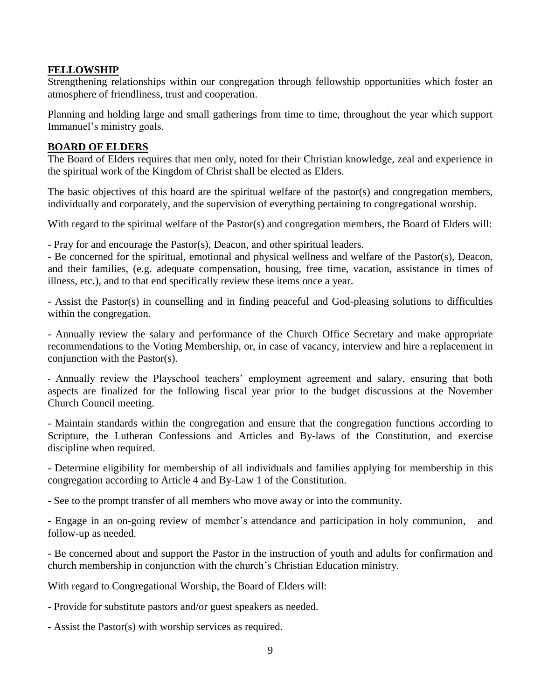### **FELLOWSHIP**

Strengthening relationships within our congregation through fellowship opportunities which foster an atmosphere of friendliness, trust and cooperation.

Planning and holding large and small gatherings from time to time, throughout the year which support Immanuel's ministry goals.

#### **BOARD OF ELDERS**

The Board of Elders requires that men only, noted for their Christian knowledge, zeal and experience in the spiritual work of the Kingdom of Christ shall be elected as Elders.

The basic objectives of this board are the spiritual welfare of the pastor(s) and congregation members, individually and corporately, and the supervision of everything pertaining to congregational worship.

With regard to the spiritual welfare of the Pastor(s) and congregation members, the Board of Elders will:

- Pray for and encourage the Pastor(s), Deacon, and other spiritual leaders.

- Be concerned for the spiritual, emotional and physical wellness and welfare of the Pastor(s), Deacon, and their families, (e.g. adequate compensation, housing, free time, vacation, assistance in times of illness, etc.), and to that end specifically review these items once a year.

- Assist the Pastor(s) in counselling and in finding peaceful and God-pleasing solutions to difficulties within the congregation.

- Annually review the salary and performance of the Church Office Secretary and make appropriate recommendations to the Voting Membership, or, in case of vacancy, interview and hire a replacement in conjunction with the Pastor(s).

- Annually review the Playschool teachers' employment agreement and salary, ensuring that both aspects are finalized for the following fiscal year prior to the budget discussions at the November Church Council meeting.

- Maintain standards within the congregation and ensure that the congregation functions according to Scripture, the Lutheran Confessions and Articles and By-laws of the Constitution, and exercise discipline when required.

- Determine eligibility for membership of all individuals and families applying for membership in this congregation according to Article 4 and By-Law 1 of the Constitution.

- See to the prompt transfer of all members who move away or into the community.

- Engage in an on-going review of member's attendance and participation in holy communion, and follow-up as needed.

- Be concerned about and support the Pastor in the instruction of youth and adults for confirmation and church membership in conjunction with the church's Christian Education ministry.

With regard to Congregational Worship, the Board of Elders will:

- Provide for substitute pastors and/or guest speakers as needed.

- Assist the Pastor(s) with worship services as required.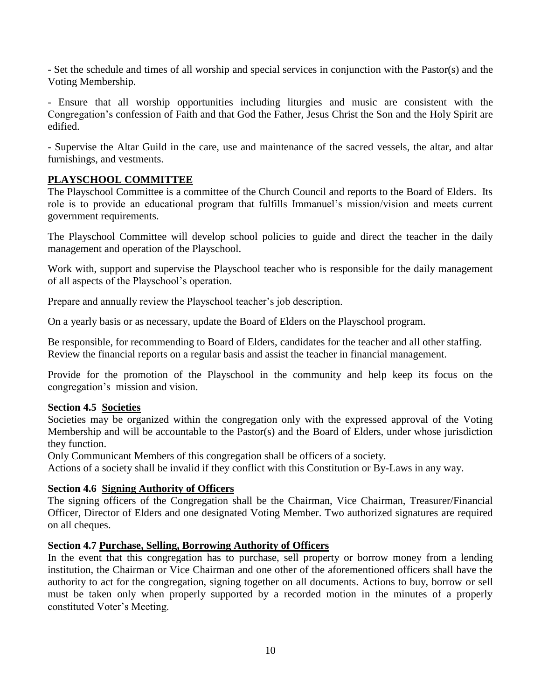- Set the schedule and times of all worship and special services in conjunction with the Pastor(s) and the Voting Membership.

- Ensure that all worship opportunities including liturgies and music are consistent with the Congregation's confession of Faith and that God the Father, Jesus Christ the Son and the Holy Spirit are edified.

- Supervise the Altar Guild in the care, use and maintenance of the sacred vessels, the altar, and altar furnishings, and vestments.

### **PLAYSCHOOL COMMITTEE**

The Playschool Committee is a committee of the Church Council and reports to the Board of Elders. Its role is to provide an educational program that fulfills Immanuel's mission/vision and meets current government requirements.

The Playschool Committee will develop school policies to guide and direct the teacher in the daily management and operation of the Playschool.

Work with, support and supervise the Playschool teacher who is responsible for the daily management of all aspects of the Playschool's operation.

Prepare and annually review the Playschool teacher's job description.

On a yearly basis or as necessary, update the Board of Elders on the Playschool program.

Be responsible, for recommending to Board of Elders, candidates for the teacher and all other staffing. Review the financial reports on a regular basis and assist the teacher in financial management.

Provide for the promotion of the Playschool in the community and help keep its focus on the congregation's mission and vision.

#### **Section 4.5 Societies**

Societies may be organized within the congregation only with the expressed approval of the Voting Membership and will be accountable to the Pastor(s) and the Board of Elders, under whose jurisdiction they function.

Only Communicant Members of this congregation shall be officers of a society.

Actions of a society shall be invalid if they conflict with this Constitution or By-Laws in any way.

#### **Section 4.6 Signing Authority of Officers**

The signing officers of the Congregation shall be the Chairman, Vice Chairman, Treasurer/Financial Officer, Director of Elders and one designated Voting Member. Two authorized signatures are required on all cheques.

#### **Section 4.7 Purchase, Selling, Borrowing Authority of Officers**

In the event that this congregation has to purchase, sell property or borrow money from a lending institution, the Chairman or Vice Chairman and one other of the aforementioned officers shall have the authority to act for the congregation, signing together on all documents. Actions to buy, borrow or sell must be taken only when properly supported by a recorded motion in the minutes of a properly constituted Voter's Meeting.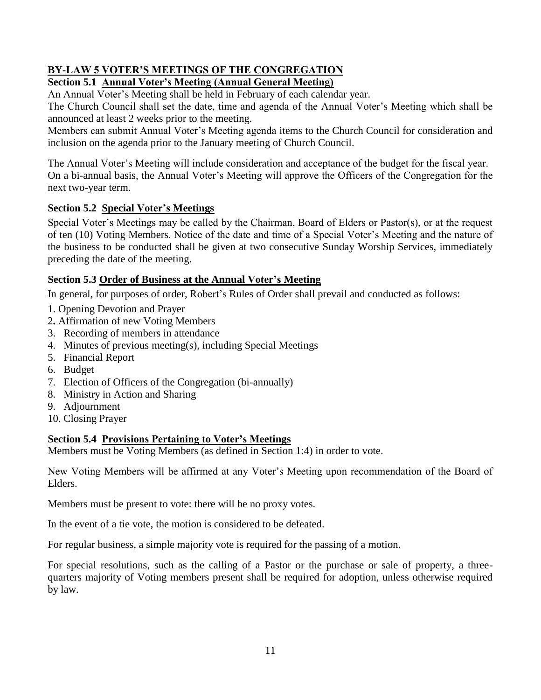### **BY-LAW 5 VOTER'S MEETINGS OF THE CONGREGATION Section 5.1 Annual Voter's Meeting (Annual General Meeting)**

An Annual Voter's Meeting shall be held in February of each calendar year.

The Church Council shall set the date, time and agenda of the Annual Voter's Meeting which shall be announced at least 2 weeks prior to the meeting.

Members can submit Annual Voter's Meeting agenda items to the Church Council for consideration and inclusion on the agenda prior to the January meeting of Church Council.

The Annual Voter's Meeting will include consideration and acceptance of the budget for the fiscal year. On a bi-annual basis, the Annual Voter's Meeting will approve the Officers of the Congregation for the next two-year term.

# **Section 5.2 Special Voter's Meetings**

Special Voter's Meetings may be called by the Chairman, Board of Elders or Pastor(s), or at the request of ten (10) Voting Members. Notice of the date and time of a Special Voter's Meeting and the nature of the business to be conducted shall be given at two consecutive Sunday Worship Services, immediately preceding the date of the meeting.

# **Section 5.3 Order of Business at the Annual Voter's Meeting**

In general, for purposes of order, Robert's Rules of Order shall prevail and conducted as follows:

- 1. Opening Devotion and Prayer
- 2**.** Affirmation of new Voting Members
- 3. Recording of members in attendance
- 4. Minutes of previous meeting(s), including Special Meetings
- 5. Financial Report
- 6. Budget
- 7. Election of Officers of the Congregation (bi-annually)
- 8. Ministry in Action and Sharing
- 9. Adjournment
- 10. Closing Prayer

# **Section 5.4 Provisions Pertaining to Voter's Meetings**

Members must be Voting Members (as defined in Section 1:4) in order to vote.

New Voting Members will be affirmed at any Voter's Meeting upon recommendation of the Board of Elders.

Members must be present to vote: there will be no proxy votes.

In the event of a tie vote, the motion is considered to be defeated.

For regular business, a simple majority vote is required for the passing of a motion.

For special resolutions, such as the calling of a Pastor or the purchase or sale of property, a threequarters majority of Voting members present shall be required for adoption, unless otherwise required by law.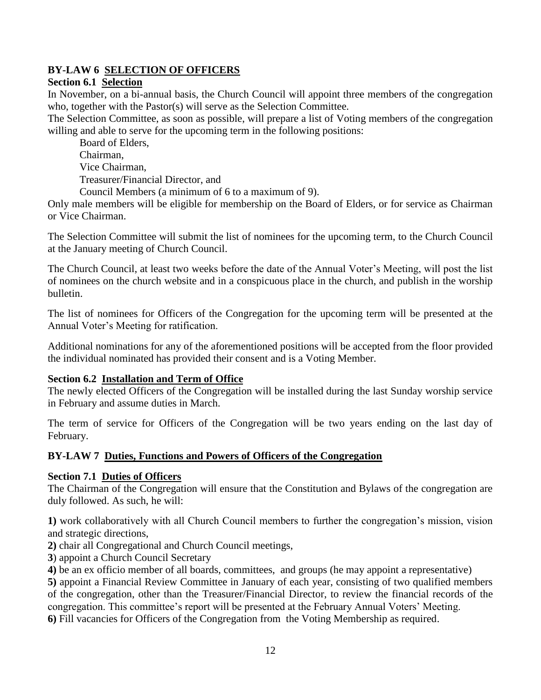# **BY-LAW 6 SELECTION OF OFFICERS**

# **Section 6.1 Selection**

In November, on a bi-annual basis, the Church Council will appoint three members of the congregation who, together with the Pastor(s) will serve as the Selection Committee.

The Selection Committee, as soon as possible, will prepare a list of Voting members of the congregation willing and able to serve for the upcoming term in the following positions:

Board of Elders, Chairman, Vice Chairman, Treasurer/Financial Director, and Council Members (a minimum of 6 to a maximum of 9).

Only male members will be eligible for membership on the Board of Elders, or for service as Chairman or Vice Chairman.

The Selection Committee will submit the list of nominees for the upcoming term, to the Church Council at the January meeting of Church Council.

The Church Council, at least two weeks before the date of the Annual Voter's Meeting, will post the list of nominees on the church website and in a conspicuous place in the church, and publish in the worship bulletin.

The list of nominees for Officers of the Congregation for the upcoming term will be presented at the Annual Voter's Meeting for ratification.

Additional nominations for any of the aforementioned positions will be accepted from the floor provided the individual nominated has provided their consent and is a Voting Member.

# **Section 6.2 Installation and Term of Office**

The newly elected Officers of the Congregation will be installed during the last Sunday worship service in February and assume duties in March.

The term of service for Officers of the Congregation will be two years ending on the last day of February.

# **BY-LAW 7 Duties, Functions and Powers of Officers of the Congregation**

# **Section 7.1 Duties of Officers**

The Chairman of the Congregation will ensure that the Constitution and Bylaws of the congregation are duly followed. As such, he will:

**1)** work collaboratively with all Church Council members to further the congregation's mission, vision and strategic directions,

**2)** chair all Congregational and Church Council meetings,

**3**) appoint a Church Council Secretary

**4)** be an ex officio member of all boards, committees, and groups (he may appoint a representative)

**5)** appoint a Financial Review Committee in January of each year, consisting of two qualified members of the congregation, other than the Treasurer/Financial Director, to review the financial records of the congregation. This committee's report will be presented at the February Annual Voters' Meeting.

**6)** Fill vacancies for Officers of the Congregation from the Voting Membership as required.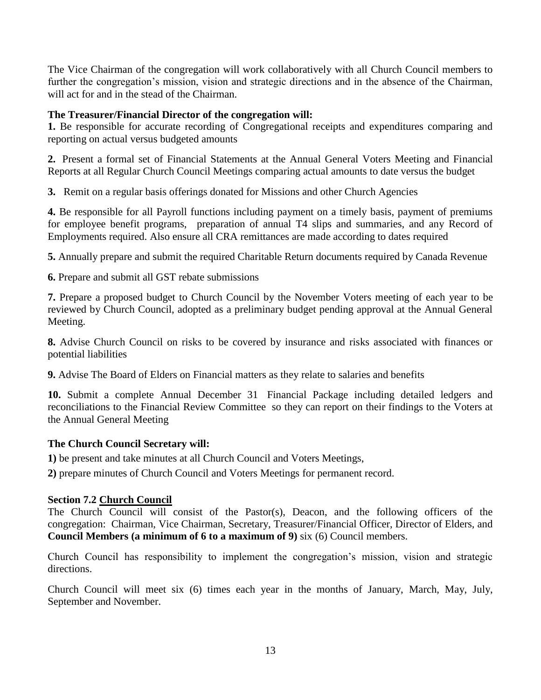The Vice Chairman of the congregation will work collaboratively with all Church Council members to further the congregation's mission, vision and strategic directions and in the absence of the Chairman, will act for and in the stead of the Chairman.

### **The Treasurer/Financial Director of the congregation will:**

**1.** Be responsible for accurate recording of Congregational receipts and expenditures comparing and reporting on actual versus budgeted amounts

**2.** Present a formal set of Financial Statements at the Annual General Voters Meeting and Financial Reports at all Regular Church Council Meetings comparing actual amounts to date versus the budget

**3.** Remit on a regular basis offerings donated for Missions and other Church Agencies

**4.** Be responsible for all Payroll functions including payment on a timely basis, payment of premiums for employee benefit programs, preparation of annual T4 slips and summaries, and any Record of Employments required. Also ensure all CRA remittances are made according to dates required

**5.** Annually prepare and submit the required Charitable Return documents required by Canada Revenue

**6.** Prepare and submit all GST rebate submissions

**7.** Prepare a proposed budget to Church Council by the November Voters meeting of each year to be reviewed by Church Council, adopted as a preliminary budget pending approval at the Annual General Meeting.

**8.** Advise Church Council on risks to be covered by insurance and risks associated with finances or potential liabilities

**9.** Advise The Board of Elders on Financial matters as they relate to salaries and benefits

**10.** Submit a complete Annual December 31 Financial Package including detailed ledgers and reconciliations to the Financial Review Committee so they can report on their findings to the Voters at the Annual General Meeting

#### **The Church Council Secretary will:**

**1)** be present and take minutes at all Church Council and Voters Meetings,

**2)** prepare minutes of Church Council and Voters Meetings for permanent record.

# **Section 7.2 Church Council**

The Church Council will consist of the Pastor(s), Deacon, and the following officers of the congregation: Chairman, Vice Chairman, Secretary, Treasurer/Financial Officer, Director of Elders, and **Council Members (a minimum of 6 to a maximum of 9)** six (6) Council members.

Church Council has responsibility to implement the congregation's mission, vision and strategic directions.

Church Council will meet six (6) times each year in the months of January, March, May, July, September and November.